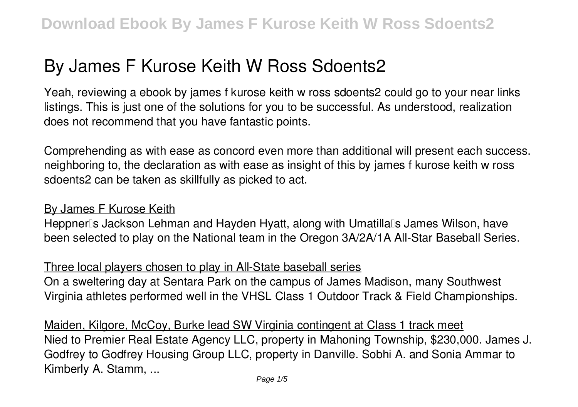# **By James F Kurose Keith W Ross Sdoents2**

Yeah, reviewing a ebook **by james f kurose keith w ross sdoents2** could go to your near links listings. This is just one of the solutions for you to be successful. As understood, realization does not recommend that you have fantastic points.

Comprehending as with ease as concord even more than additional will present each success. neighboring to, the declaration as with ease as insight of this by james f kurose keith w ross sdoents2 can be taken as skillfully as picked to act.

## By James F Kurose Keith

Heppnerlls Jackson Lehman and Hayden Hyatt, along with Umatillalls James Wilson, have been selected to play on the National team in the Oregon 3A/2A/1A All-Star Baseball Series.

# Three local players chosen to play in All-State baseball series

On a sweltering day at Sentara Park on the campus of James Madison, many Southwest Virginia athletes performed well in the VHSL Class 1 Outdoor Track & Field Championships.

Maiden, Kilgore, McCoy, Burke lead SW Virginia contingent at Class 1 track meet Nied to Premier Real Estate Agency LLC, property in Mahoning Township, \$230,000. James J. Godfrey to Godfrey Housing Group LLC, property in Danville. Sobhi A. and Sonia Ammar to Kimberly A. Stamm, ...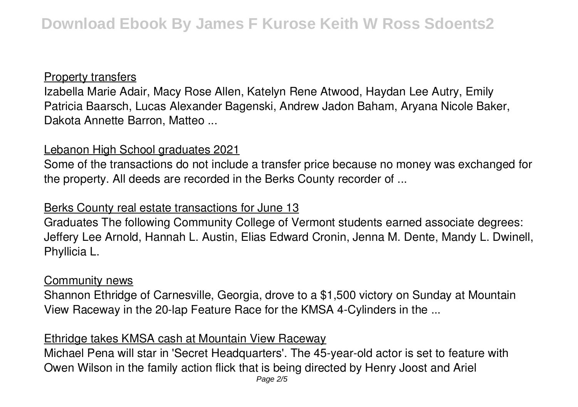## Property transfers

Izabella Marie Adair, Macy Rose Allen, Katelyn Rene Atwood, Haydan Lee Autry, Emily Patricia Baarsch, Lucas Alexander Bagenski, Andrew Jadon Baham, Aryana Nicole Baker, Dakota Annette Barron, Matteo ...

## Lebanon High School graduates 2021

Some of the transactions do not include a transfer price because no money was exchanged for the property. All deeds are recorded in the Berks County recorder of ...

# Berks County real estate transactions for June 13

Graduates The following Community College of Vermont students earned associate degrees: Jeffery Lee Arnold, Hannah L. Austin, Elias Edward Cronin, Jenna M. Dente, Mandy L. Dwinell, Phyllicia L.

## Community news

Shannon Ethridge of Carnesville, Georgia, drove to a \$1,500 victory on Sunday at Mountain View Raceway in the 20-lap Feature Race for the KMSA 4-Cylinders in the ...

# Ethridge takes KMSA cash at Mountain View Raceway

Michael Pena will star in 'Secret Headquarters'. The 45-year-old actor is set to feature with Owen Wilson in the family action flick that is being directed by Henry Joost and Ariel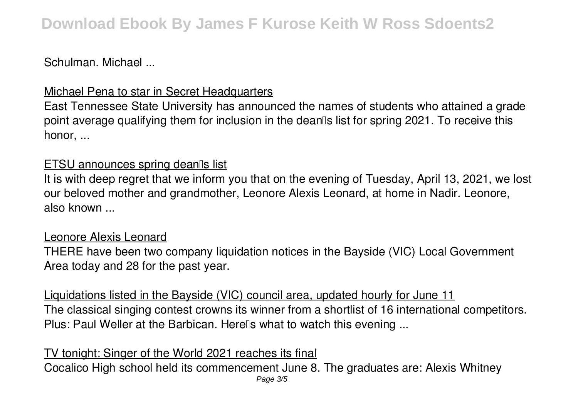Schulman. Michael ...

# Michael Pena to star in Secret Headquarters

East Tennessee State University has announced the names of students who attained a grade point average qualifying them for inclusion in the dean<sup>®</sup>s list for spring 2021. To receive this honor, ...

# ETSU announces spring dean<sup>[]</sup>s list

It is with deep regret that we inform you that on the evening of Tuesday, April 13, 2021, we lost our beloved mother and grandmother, Leonore Alexis Leonard, at home in Nadir. Leonore, also known ...

# Leonore Alexis Leonard

THERE have been two company liquidation notices in the Bayside (VIC) Local Government Area today and 28 for the past year.

Liquidations listed in the Bayside (VIC) council area, updated hourly for June 11 The classical singing contest crowns its winner from a shortlist of 16 international competitors. Plus: Paul Weller at the Barbican. Herells what to watch this evening ...

#### TV tonight: Singer of the World 2021 reaches its final Cocalico High school held its commencement June 8. The graduates are: Alexis Whitney Page 3/5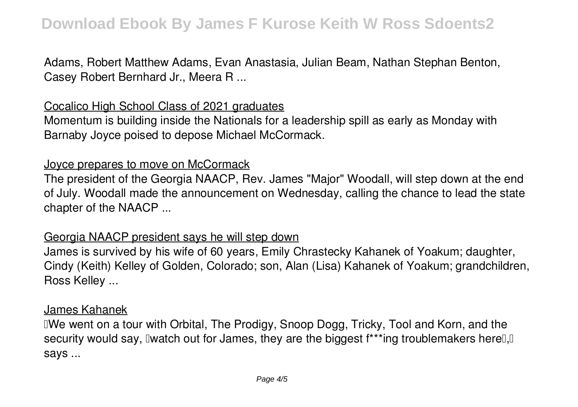Adams, Robert Matthew Adams, Evan Anastasia, Julian Beam, Nathan Stephan Benton, Casey Robert Bernhard Jr., Meera R ...

## Cocalico High School Class of 2021 graduates

Momentum is building inside the Nationals for a leadership spill as early as Monday with Barnaby Joyce poised to depose Michael McCormack.

#### Joyce prepares to move on McCormack

The president of the Georgia NAACP, Rev. James "Major" Woodall, will step down at the end of July. Woodall made the announcement on Wednesday, calling the chance to lead the state chapter of the NAACP ...

#### Georgia NAACP president says he will step down

James is survived by his wife of 60 years, Emily Chrastecky Kahanek of Yoakum; daughter, Cindy (Keith) Kelley of Golden, Colorado; son, Alan (Lisa) Kahanek of Yoakum; grandchildren, Ross Kelley ...

#### James Kahanek

I'We went on a tour with Orbital, The Prodigy, Snoop Dogg, Tricky, Tool and Korn, and the security would say, I watch out for James, they are the biggest f\*\*\*ing troublemakers here  $\mathbb{I}, \mathbb{I}$ says ...